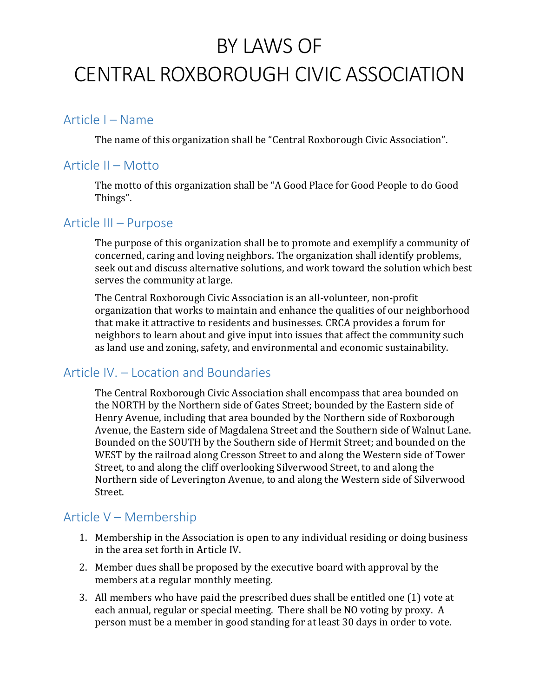# BY LAWS OF CENTRAL ROXBOROUGH CIVIC ASSOCIATION

#### Article I – Name

The name of this organization shall be "Central Roxborough Civic Association".

#### Article II – Motto

The motto of this organization shall be "A Good Place for Good People to do Good Things".

#### Article III – Purpose

The purpose of this organization shall be to promote and exemplify a community of concerned, caring and loving neighbors. The organization shall identify problems, seek out and discuss alternative solutions, and work toward the solution which best serves the community at large.

The Central Roxborough Civic Association is an all-volunteer, non-profit organization that works to maintain and enhance the qualities of our neighborhood that make it attractive to residents and businesses. CRCA provides a forum for neighbors to learn about and give input into issues that affect the community such as land use and zoning, safety, and environmental and economic sustainability.

### Article IV. – Location and Boundaries

The Central Roxborough Civic Association shall encompass that area bounded on the NORTH by the Northern side of Gates Street; bounded by the Eastern side of Henry Avenue, including that area bounded by the Northern side of Roxborough Avenue, the Eastern side of Magdalena Street and the Southern side of Walnut Lane. Bounded on the SOUTH by the Southern side of Hermit Street; and bounded on the WEST by the railroad along Cresson Street to and along the Western side of Tower Street, to and along the cliff overlooking Silverwood Street, to and along the Northern side of Leverington Avenue, to and along the Western side of Silverwood Street.

#### Article V – Membership

- 1. Membership in the Association is open to any individual residing or doing business in the area set forth in Article IV.
- 2. Member dues shall be proposed by the executive board with approval by the members at a regular monthly meeting.
- 3. All members who have paid the prescribed dues shall be entitled one (1) vote at each annual, regular or special meeting. There shall be NO voting by proxy. A person must be a member in good standing for at least 30 days in order to vote.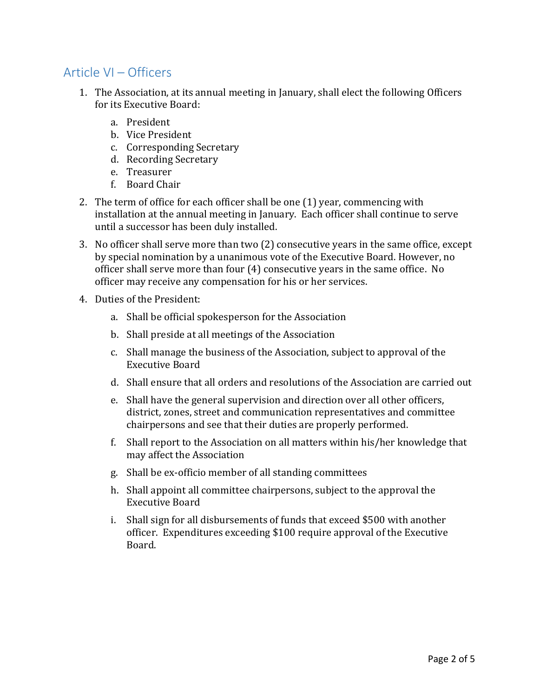## Article VI – Officers

- 1. The Association, at its annual meeting in January, shall elect the following Officers for its Executive Board:
	- a. President
	- b. Vice President
	- c. Corresponding Secretary
	- d. Recording Secretary
	- e. Treasurer
	- f. Board Chair
- 2. The term of office for each officer shall be one (1) year, commencing with installation at the annual meeting in January. Each officer shall continue to serve until a successor has been duly installed.
- 3. No officer shall serve more than two (2) consecutive years in the same office, except by special nomination by a unanimous vote of the Executive Board. However, no officer shall serve more than four (4) consecutive years in the same office. No officer may receive any compensation for his or her services.
- 4. Duties of the President:
	- a. Shall be official spokesperson for the Association
	- b. Shall preside at all meetings of the Association
	- c. Shall manage the business of the Association, subject to approval of the Executive Board
	- d. Shall ensure that all orders and resolutions of the Association are carried out
	- e. Shall have the general supervision and direction over all other officers, district, zones, street and communication representatives and committee chairpersons and see that their duties are properly performed.
	- f. Shall report to the Association on all matters within his/her knowledge that may affect the Association
	- g. Shall be ex-officio member of all standing committees
	- h. Shall appoint all committee chairpersons, subject to the approval the Executive Board
	- i. Shall sign for all disbursements of funds that exceed \$500 with another officer. Expenditures exceeding \$100 require approval of the Executive Board.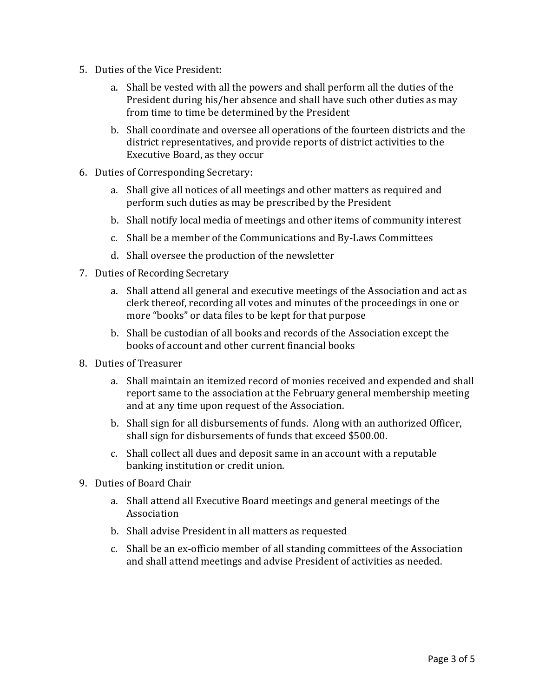- 5. Duties of the Vice President:
	- a. Shall be vested with all the powers and shall perform all the duties of the President during his/her absence and shall have such other duties as may from time to time be determined by the President
	- b. Shall coordinate and oversee all operations of the fourteen districts and the district representatives, and provide reports of district activities to the Executive Board, as they occur
- 6. Duties of Corresponding Secretary:
	- a. Shall give all notices of all meetings and other matters as required and perform such duties as may be prescribed by the President
	- b. Shall notify local media of meetings and other items of community interest
	- c. Shall be a member of the Communications and By-Laws Committees
	- d. Shall oversee the production of the newsletter
- 7. Duties of Recording Secretary
	- a. Shall attend all general and executive meetings of the Association and act as clerk thereof, recording all votes and minutes of the proceedings in one or more "books" or data files to be kept for that purpose
	- b. Shall be custodian of all books and records of the Association except the books of account and other current financial books
- 8. Duties of Treasurer
	- a. Shall maintain an itemized record of monies received and expended and shall report same to the association at the February general membership meeting and at any time upon request of the Association.
	- b. Shall sign for all disbursements of funds. Along with an authorized Officer, shall sign for disbursements of funds that exceed \$500.00.
	- c. Shall collect all dues and deposit same in an account with a reputable banking institution or credit union.
- 9. Duties of Board Chair
	- a. Shall attend all Executive Board meetings and general meetings of the Association
	- b. Shall advise President in all matters as requested
	- c. Shall be an ex-officio member of all standing committees of the Association and shall attend meetings and advise President of activities as needed.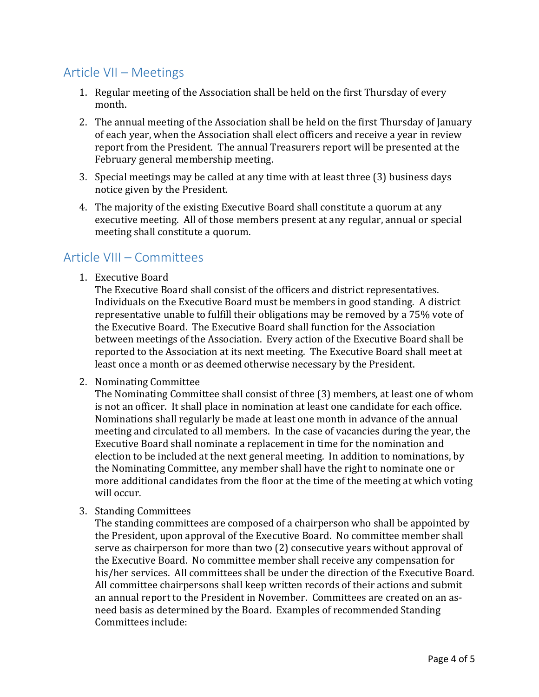## Article VII – Meetings

- 1. Regular meeting of the Association shall be held on the first Thursday of every month.
- 2. The annual meeting of the Association shall be held on the first Thursday of January of each year, when the Association shall elect officers and receive a year in review report from the President. The annual Treasurers report will be presented at the February general membership meeting.
- 3. Special meetings may be called at any time with at least three (3) business days notice given by the President.
- 4. The majority of the existing Executive Board shall constitute a quorum at any executive meeting. All of those members present at any regular, annual or special meeting shall constitute a quorum.

### Article VIII – Committees

1. Executive Board

The Executive Board shall consist of the officers and district representatives. Individuals on the Executive Board must be members in good standing. A district representative unable to fulfill their obligations may be removed by a 75% vote of the Executive Board. The Executive Board shall function for the Association between meetings of the Association. Every action of the Executive Board shall be reported to the Association at its next meeting. The Executive Board shall meet at least once a month or as deemed otherwise necessary by the President.

2. Nominating Committee

The Nominating Committee shall consist of three (3) members, at least one of whom is not an officer. It shall place in nomination at least one candidate for each office. Nominations shall regularly be made at least one month in advance of the annual meeting and circulated to all members. In the case of vacancies during the year, the Executive Board shall nominate a replacement in time for the nomination and election to be included at the next general meeting. In addition to nominations, by the Nominating Committee, any member shall have the right to nominate one or more additional candidates from the floor at the time of the meeting at which voting will occur.

3. Standing Committees

The standing committees are composed of a chairperson who shall be appointed by the President, upon approval of the Executive Board. No committee member shall serve as chairperson for more than two (2) consecutive years without approval of the Executive Board. No committee member shall receive any compensation for his/her services. All committees shall be under the direction of the Executive Board. All committee chairpersons shall keep written records of their actions and submit an annual report to the President in November. Committees are created on an asneed basis as determined by the Board. Examples of recommended Standing Committees include: